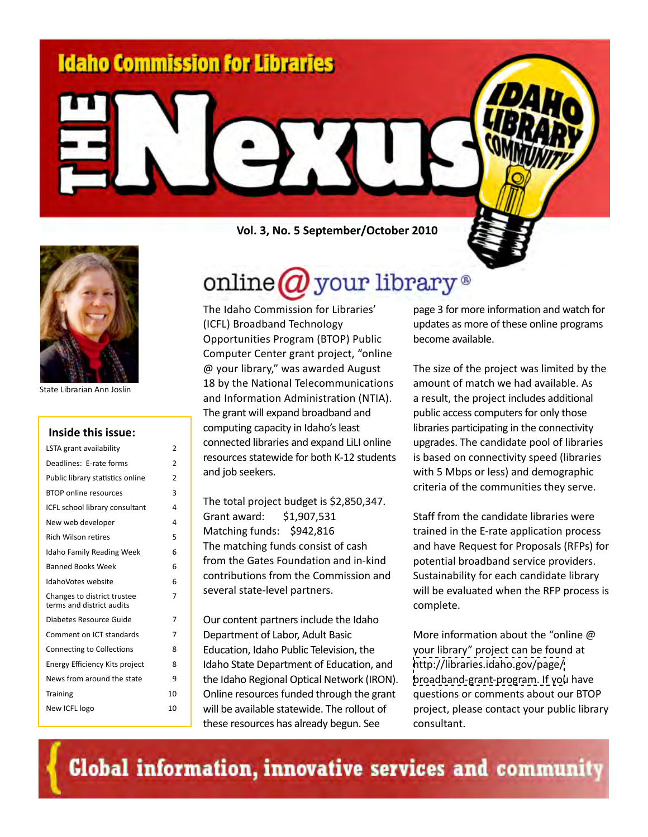

State Librarian Ann Joslin

#### **Inside this issue:**

| LSTA grant availability                                  | 2  |
|----------------------------------------------------------|----|
| Deadlines: E-rate forms                                  | 2  |
| Public library statistics online                         | 2  |
| <b>BTOP</b> online resources                             | 3  |
| ICFL school library consultant                           | 4  |
| New web developer                                        | 4  |
| <b>Rich Wilson retires</b>                               | 5  |
| <b>Idaho Family Reading Week</b>                         | 6  |
| <b>Banned Books Week</b>                                 | 6  |
| IdahoVotes website                                       | 6  |
| Changes to district trustee<br>terms and district audits | 7  |
| Diabetes Resource Guide                                  | 7  |
| Comment on ICT standards                                 | 7  |
| <b>Connecting to Collections</b>                         | 8  |
| Energy Efficiency Kits project                           | 8  |
| News from around the state                               | 9  |
| <b>Training</b>                                          | 10 |
| New ICFL logo                                            | 10 |

**Vol. 3, No. 5 September/October 2010**

# online  $\bm{a}$  your library  $^{\circ}$

The Idaho Commission for Libraries' (ICFL) Broadband Technology Opportunities Program (BTOP) Public Computer Center grant project, "online @ your library," was awarded August 18 by the National Telecommunications and Information Administration (NTIA). The grant will expand broadband and computing capacity in Idaho's least connected libraries and expand LiLI online resources statewide for both K-12 students and job seekers.

The total project budget is \$2,850,347. Grant award: \$1,907,531 Matching funds: \$942,816 The matching funds consist of cash from the Gates Foundation and in-kind contributions from the Commission and several state-level partners.

Our content partners include the Idaho Department of Labor, Adult Basic Education, Idaho Public Television, the Idaho State Department of Education, and the Idaho Regional Optical Network (IRON). Online resources funded through the grant will be available statewide. The rollout of these resources has already begun. See

page 3 for more information and watch for updates as more of these online programs become available.

The size of the project was limited by the amount of match we had available. As a result, the project includes additional public access computers for only those libraries participating in the connectivity upgrades. The candidate pool of libraries is based on connectivity speed (libraries with 5 Mbps or less) and demographic criteria of the communities they serve.

Staff from the candidate libraries were trained in the E-rate application process and have Request for Proposals (RFPs) for potential broadband service providers. Sustainability for each candidate library will be evaluated when the RFP process is complete.

More information about the "online @ your library" project can be found at [http://libraries.idaho.gov/page/](http://libraries.idaho.gov/page/broadband-grant-program) broadband-grant-program. If you have questions or comments about our BTOP project, please contact your public library consultant.

Global information, innovative services and community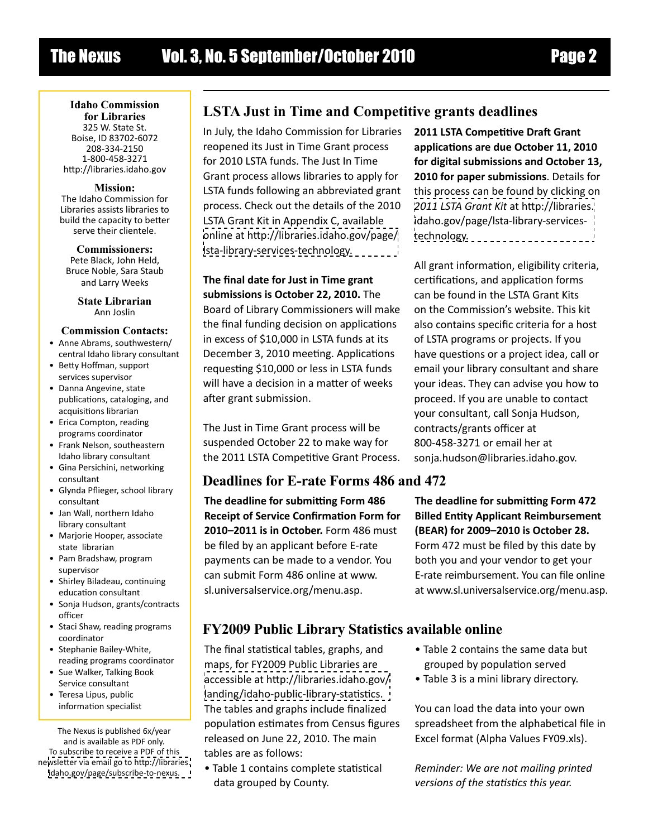**Idaho Commission for Libraries** 325 W. State St. Boise, ID 83702-6072 208-334-2150 1-800-458-3271 http://libraries.idaho.gov

**Mission:**  The Idaho Commission for Libraries assists libraries to build the capacity to better serve their clientele.

**Commissioners:** Pete Black, John Held, Bruce Noble, Sara Staub and Larry Weeks

> **State Librarian** Ann Joslin

#### **Commission Contacts:**

- Anne Abrams, southwestern/ central Idaho library consultant
- Betty Hoffman, support services supervisor
- Danna Angevine, state publications, cataloging, and acquisitions librarian
- Erica Compton, reading programs coordinator
- Frank Nelson, southeastern Idaho library consultant
- Gina Persichini, networking consultant
- Glynda Pflieger, school library consultant
- Jan Wall, northern Idaho library consultant
- Marjorie Hooper, associate state librarian
- Pam Bradshaw, program supervisor
- Shirley Biladeau, continuing education consultant
- Sonja Hudson, grants/contracts officer
- Staci Shaw, reading programs coordinator
- Stephanie Bailey-White, reading programs coordinator
- Sue Walker, Talking Book Service consultant
- Teresa Lipus, public information specialist

The Nexus is published 6x/year and is available as PDF only. To subscribe to receive a PDF of this ne[wsletter via email go to http://libraries.](http://libraries.idaho.gov/page/subscribe-to-nexus) idaho.gov/page/subscribe-to-nexus.

# **LSTA Just in Time and Competitive grants deadlines**

In July, the Idaho Commission for Libraries reopened its Just in Time Grant process for 2010 LSTA funds. The Just In Time Grant process allows libraries to apply for LSTA funds following an abbreviated grant process. Check out the details of the 2010 LSTA Grant Kit in Appendix C, available [online at http://libraries.idaho.gov/page/](http://libraries.idaho.gov/page/lsta-library-services-technology) lsta-library-services-technology.

**The final date for Just in Time grant submissions is October 22, 2010.** The Board of Library Commissioners will make the final funding decision on applications in excess of \$10,000 in LSTA funds at its December 3, 2010 meeting. Applications requesting \$10,000 or less in LSTA funds will have a decision in a matter of weeks after grant submission.

The Just in Time Grant process will be suspended October 22 to make way for the 2011 LSTA Competitive Grant Process.

# **Deadlines for E-rate Forms 486 and 472**

**The deadline for submitting Form 486 Receipt of Service Confirmation Form for 2010–2011 is in October.** Form 486 must be filed by an applicant before E-rate payments can be made to a vendor. You can submit Form 486 online at www. sl.universalservice.org/menu.asp.

**2011 LSTA Competitive Draft Grant applications are due October 11, 2010 for digital submissions and October 13, 2010 for paper submissions**. Details for this process can be found by clicking on *2011 LSTA Grant Kit* at http://libraries. [idaho.gov/page/lsta-library-services](http://libraries.idaho.gov/page/lsta-library-services-technology)technology.

All grant information, eligibility criteria, certifications, and application forms can be found in the LSTA Grant Kits on the Commission's website. This kit also contains specific criteria for a host of LSTA programs or projects. If you have questions or a project idea, call or email your library consultant and share your ideas. They can advise you how to proceed. If you are unable to contact your consultant, call Sonja Hudson, contracts/grants officer at 800-458-3271 or email her at sonja.hudson@libraries.idaho.gov.

**The deadline for submitting Form 472 Billed Entity Applicant Reimbursement (BEAR) for 2009–2010 is October 28.** Form 472 must be filed by this date by both you and your vendor to get your E-rate reimbursement. You can file online at www.sl.universalservice.org/menu.asp.

# **FY2009 Public Library Statistics available online**

The final statistical tables, graphs, and maps, for FY2009 Public Libraries are [accessible at http://libraries.idaho.gov/](http://libraries.idaho.gov/landing/idaho-public-library-statistics) landing/idaho-public-library-statistics. The tables and graphs include finalized population estimates from Census figures released on June 22, 2010. The main tables are as follows:

• Table 1 contains complete statistical data grouped by County.

- Table 2 contains the same data but grouped by population served
- Table 3 is a mini library directory.

You can load the data into your own spreadsheet from the alphabetical file in Excel format (Alpha Values FY09.xls).

*Reminder: We are not mailing printed versions of the statistics this year.*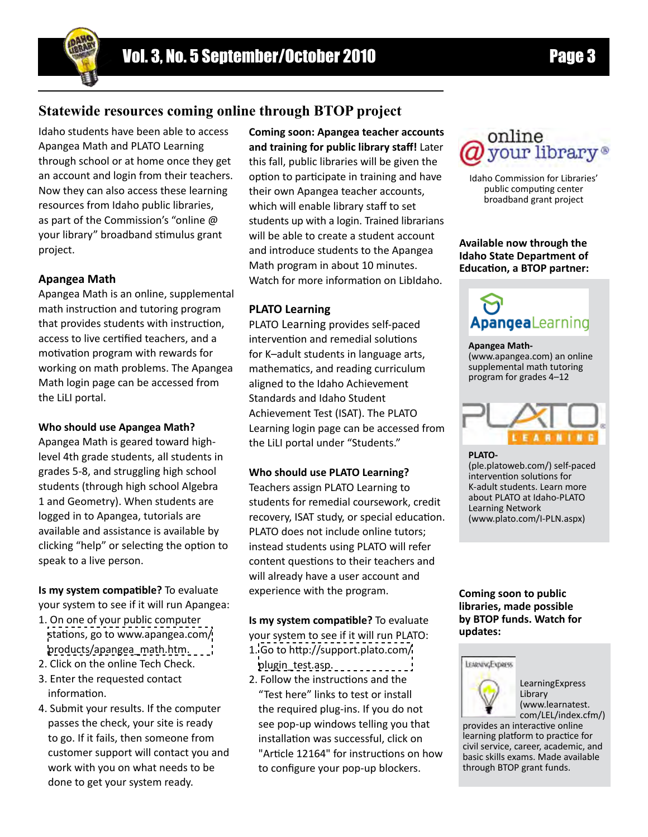# **Statewide resources coming online through BTOP project**

Idaho students have been able to access Apangea Math and PLATO Learning through school or at home once they get an account and login from their teachers. Now they can also access these learning resources from Idaho public libraries, as part of the Commission's "online @ your library" broadband stimulus grant project.

#### **Apangea Math**

Apangea Math is an online, supplemental math instruction and tutoring program that provides students with instruction, access to live certified teachers, and a motivation program with rewards for working on math problems. The Apangea Math login page can be accessed from the LiLI portal.

#### **Who should use Apangea Math?**

Apangea Math is geared toward highlevel 4th grade students, all students in grades 5-8, and struggling high school students (through high school Algebra 1 and Geometry). When students are logged in to Apangea, tutorials are available and assistance is available by clicking "help" or selecting the option to speak to a live person.

**Is my system compatible?** To evaluate your system to see if it will run Apangea:

- 1. On one of your public computer [stations, go to www.apangea.com/](www.apangea.com/products/apangea_math.htm) products/apangea\_math.htm.
- 2. Click on the online Tech Check.
- 3. Enter the requested contact information.
- 4. Submit your results. If the computer passes the check, your site is ready to go. If it fails, then someone from customer support will contact you and work with you on what needs to be done to get your system ready.

**Coming soon: Apangea teacher accounts and training for public library staff!** Later this fall, public libraries will be given the option to participate in training and have their own Apangea teacher accounts, which will enable library staff to set students up with a login. Trained librarians will be able to create a student account and introduce students to the Apangea Math program in about 10 minutes. Watch for more information on LibIdaho.

#### **PLATO Learning**

PLATO Learning provides self-paced intervention and remedial solutions for K–adult students in language arts, mathematics, and reading curriculum aligned to the Idaho Achievement Standards and Idaho Student Achievement Test (ISAT). The PLATO Learning login page can be accessed from the LiLI portal under "Students."

#### **Who should use PLATO Learning?**

Teachers assign PLATO Learning to students for remedial coursework, credit recovery, ISAT study, or special education. PLATO does not include online tutors; instead students using PLATO will refer content questions to their teachers and will already have a user account and experience with the program.

**Is my system compatible?** To evaluate your system to see if it will run PLATO:

- 1. [Go to http://support.plato.com/](http://support.plato.com/plugin_test.asp) plugin\_test.asp.
- 2. Follow the instructions and the "Test here" links to test or install the required plug-ins. If you do not see pop-up windows telling you that installation was successful, click on "Article 12164" for instructions on how to configure your pop-up blockers.

# online vour library®

Idaho Commission for Libraries' public computing center broadband grant project

**Available now through the Idaho State Department of Education, a BTOP partner:**

# **ApangeaLearning**

#### **Apangea Math-**

(www.apangea.com) an online supplemental math tutoring program for grades 4–12



**PLATO-**  (ple.platoweb.com/) self-paced intervention solutions for K-adult students. Learn more about PLATO at Idaho-PLATO Learning Network

(www.plato.com/I-PLN.aspx)

#### **Coming soon to public libraries, made possible by BTOP funds. Watch for updates:**



LearningExpress Library (www.learnatest. com/LEL/index.cfm/)

provides an interactive online learning platform to practice for civil service, career, academic, and basic skills exams. Made available through BTOP grant funds.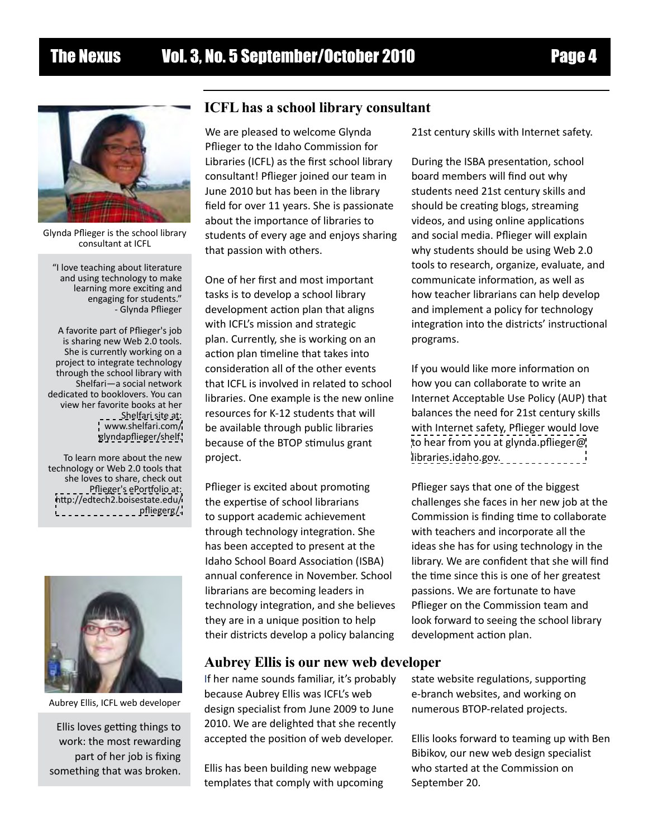

Glynda Pflieger is the school library consultant at ICFL

 "I love teaching about literature and using technology to make learning more exciting and engaging for students." - Glynda Pflieger

A favorite part of Pflieger's job is sharing new Web 2.0 tools. She is currently working on a project to integrate technology through the school library with Shelfari—a social network dedicated to booklovers. You can view her favorite books at her Shelfari site at: www.shelfari.com/ [glyndapflieger/shelf.](www.shelfari.com/glyndapflieger/shelf)

To learn more about the new technology or Web 2.0 tools that she loves to share, check out Pflieger's ePortfolio at: [http://edtech2.boisestate.edu/](http://edtech2.boisestate.edu/pfliegerg/) pfliegerg/.



Aubrey Ellis, ICFL web developer

Ellis loves getting things to work: the most rewarding part of her job is fixing something that was broken.

### **ICFL has a school library consultant**

We are pleased to welcome Glynda Pflieger to the Idaho Commission for Libraries (ICFL) as the first school library consultant! Pflieger joined our team in June 2010 but has been in the library field for over 11 years. She is passionate about the importance of libraries to students of every age and enjoys sharing that passion with others.

One of her first and most important tasks is to develop a school library development action plan that aligns with ICFL's mission and strategic plan. Currently, she is working on an action plan timeline that takes into consideration all of the other events that ICFL is involved in related to school libraries. One example is the new online resources for K-12 students that will be available through public libraries because of the BTOP stimulus grant project.

Pflieger is excited about promoting the expertise of school librarians to support academic achievement through technology integration. She has been accepted to present at the Idaho School Board Association (ISBA) annual conference in November. School librarians are becoming leaders in technology integration, and she believes they are in a unique position to help their districts develop a policy balancing

#### **Aubrey Ellis is our new web developer**

If her name sounds familiar, it's probably because Aubrey Ellis was ICFL's web design specialist from June 2009 to June 2010. We are delighted that she recently accepted the position of web developer.

Ellis has been building new webpage templates that comply with upcoming 21st century skills with Internet safety.

During the ISBA presentation, school board members will find out why students need 21st century skills and should be creating blogs, streaming videos, and using online applications and social media. Pflieger will explain why students should be using Web 2.0 tools to research, organize, evaluate, and communicate information, as well as how teacher librarians can help develop and implement a policy for technology integration into the districts' instructional programs.

If you would like more information on how you can collaborate to write an Internet Acceptable Use Policy (AUP) that balances the need for 21st century skills with Internet safety, Pflieger would love [to hear from you at glynda.pflieger@](mailto:glynda.pflieger@libraries.idaho.gov) libraries.idaho.gov.

Pflieger says that one of the biggest challenges she faces in her new job at the Commission is finding time to collaborate with teachers and incorporate all the ideas she has for using technology in the library. We are confident that she will find the time since this is one of her greatest passions. We are fortunate to have Pflieger on the Commission team and look forward to seeing the school library development action plan.

state website regulations, supporting e-branch websites, and working on numerous BTOP-related projects.

Ellis looks forward to teaming up with Ben Bibikov, our new web design specialist who started at the Commission on September 20.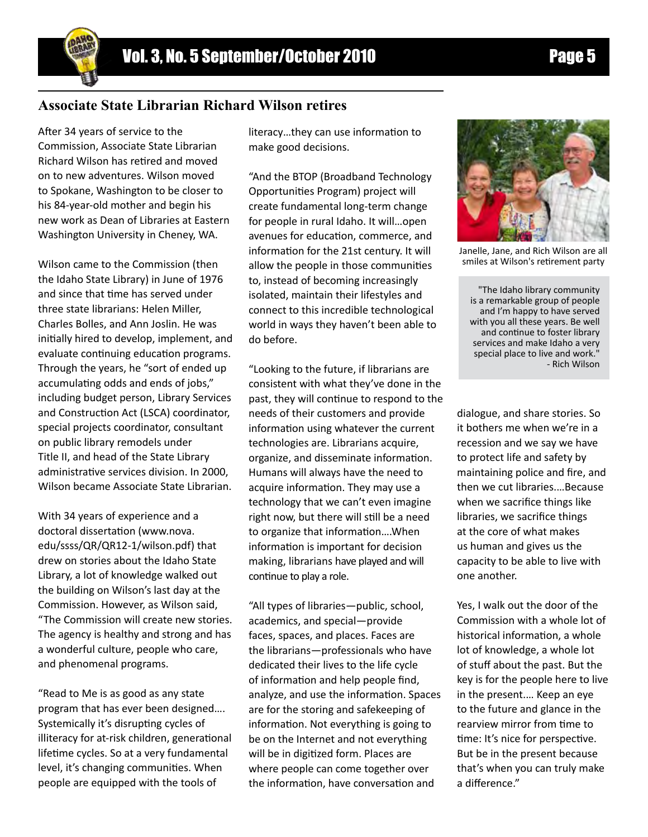# **Associate State Librarian Richard Wilson retires**

After 34 years of service to the Commission, Associate State Librarian Richard Wilson has retired and moved on to new adventures. Wilson moved to Spokane, Washington to be closer to his 84-year-old mother and begin his new work as Dean of Libraries at Eastern Washington University in Cheney, WA.

Wilson came to the Commission (then the Idaho State Library) in June of 1976 and since that time has served under three state librarians: Helen Miller, Charles Bolles, and Ann Joslin. He was initially hired to develop, implement, and evaluate continuing education programs. Through the years, he "sort of ended up accumulating odds and ends of jobs," including budget person, Library Services and Construction Act (LSCA) coordinator, special projects coordinator, consultant on public library remodels under Title II, and head of the State Library administrative services division. In 2000, Wilson became Associate State Librarian.

With 34 years of experience and a doctoral dissertation (www.nova. edu/ssss/QR/QR12-1/wilson.pdf) that drew on stories about the Idaho State Library, a lot of knowledge walked out the building on Wilson's last day at the Commission. However, as Wilson said, "The Commission will create new stories. The agency is healthy and strong and has a wonderful culture, people who care, and phenomenal programs.

"Read to Me is as good as any state program that has ever been designed…. Systemically it's disrupting cycles of illiteracy for at-risk children, generational lifetime cycles. So at a very fundamental level, it's changing communities. When people are equipped with the tools of

literacy…they can use information to make good decisions.

"And the BTOP (Broadband Technology Opportunities Program) project will create fundamental long-term change for people in rural Idaho. It will…open avenues for education, commerce, and information for the 21st century. It will allow the people in those communities to, instead of becoming increasingly isolated, maintain their lifestyles and connect to this incredible technological world in ways they haven't been able to do before.

"Looking to the future, if librarians are consistent with what they've done in the past, they will continue to respond to the needs of their customers and provide information using whatever the current technologies are. Librarians acquire, organize, and disseminate information. Humans will always have the need to acquire information. They may use a technology that we can't even imagine right now, but there will still be a need to organize that information….When information is important for decision making, librarians have played and will continue to play a role.

"All types of libraries—public, school, academics, and special—provide faces, spaces, and places. Faces are the librarians—professionals who have dedicated their lives to the life cycle of information and help people find, analyze, and use the information. Spaces are for the storing and safekeeping of information. Not everything is going to be on the Internet and not everything will be in digitized form. Places are where people can come together over the information, have conversation and

Janelle, Jane, and Rich Wilson are all

smiles at Wilson's retirement party

"The Idaho library community is a remarkable group of people and I'm happy to have served with you all these years. Be well and continue to foster library services and make Idaho a very special place to live and work.' - Rich Wilson

dialogue, and share stories. So it bothers me when we're in a recession and we say we have to protect life and safety by maintaining police and fire, and then we cut libraries.…Because when we sacrifice things like libraries, we sacrifice things at the core of what makes us human and gives us the capacity to be able to live with one another.

Yes, I walk out the door of the Commission with a whole lot of historical information, a whole lot of knowledge, a whole lot of stuff about the past. But the key is for the people here to live in the present.… Keep an eye to the future and glance in the rearview mirror from time to time: It's nice for perspective. But be in the present because that's when you can truly make a difference."

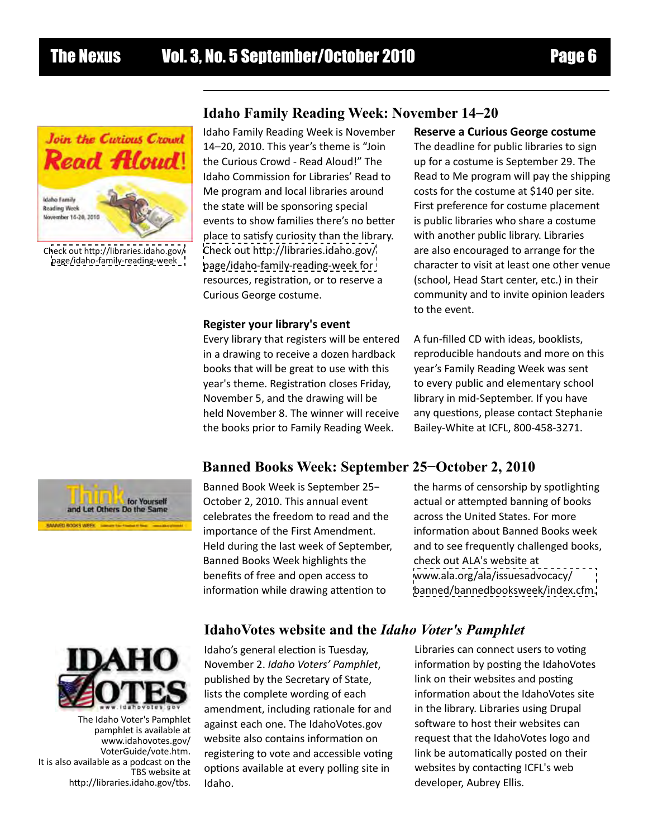

C[heck out http://libraries.idaho.gov/](http://libraries.idaho.gov/page/idaho-family-reading-week) page/idaho-family-reading-week

# **Idaho Family Reading Week: November 14**–**20**

Idaho Family Reading Week is November 14–20, 2010. This year's theme is "Join the Curious Crowd - Read Aloud!" The Idaho Commission for Libraries' Read to Me program and local libraries around the state will be sponsoring special events to show families there's no better place to satisfy curiosity than the library. [Check out http://libraries.idaho.gov/](http://libraries.idaho.gov/page/idaho-family-reading-week) page/idaho-family-reading-week for resources, registration, or to reserve a Curious George costume.

#### **Register your library's event**

Every library that registers will be entered in a drawing to receive a dozen hardback books that will be great to use with this year's theme. Registration closes Friday, November 5, and the drawing will be held November 8. The winner will receive the books prior to Family Reading Week.

#### **Reserve a Curious George costume**

The deadline for public libraries to sign up for a costume is September 29. The Read to Me program will pay the shipping costs for the costume at \$140 per site. First preference for costume placement is public libraries who share a costume with another public library. Libraries are also encouraged to arrange for the character to visit at least one other venue (school, Head Start center, etc.) in their community and to invite opinion leaders to the event.

A fun-filled CD with ideas, booklists, reproducible handouts and more on this year's Family Reading Week was sent to every public and elementary school library in mid-September. If you have any questions, please contact Stephanie Bailey-White at ICFL, 800-458-3271.

# **Banned Books Week: September 25−October 2, 2010**



Banned Book Week is September 25− October 2, 2010. This annual event celebrates the freedom to read and the importance of the First Amendment. Held during the last week of September, Banned Books Week highlights the benefits of free and open access to information while drawing attention to

the harms of censorship by spotlighting actual or attempted banning of books across the United States. For more information about Banned Books week and to see frequently challenged books, check out ALA's website at www.ala.org/ala/issuesadvocacy/ [banned/bannedbooksweek/index.cfm.](www.ala.org/ala/issuesadvocacy/banned/bannedbooksweek/index.cfm)

#### **IdahoVotes website and the** *Idaho Voter's Pamphlet*



The Idaho Voter's Pamphlet pamphlet is available at www.idahovotes.gov/ VoterGuide/vote.htm. It is also available as a podcast on the TBS website at http://libraries.idaho.gov/tbs.

Idaho's general election is Tuesday, November 2. *Idaho Voters' Pamphlet*, published by the Secretary of State, lists the complete wording of each amendment, including rationale for and against each one. The IdahoVotes.gov website also contains information on registering to vote and accessible voting options available at every polling site in Idaho.

Libraries can connect users to voting information by posting the IdahoVotes link on their websites and posting information about the IdahoVotes site in the library. Libraries using Drupal software to host their websites can request that the IdahoVotes logo and link be automatically posted on their websites by contacting ICFL's web developer, Aubrey Ellis.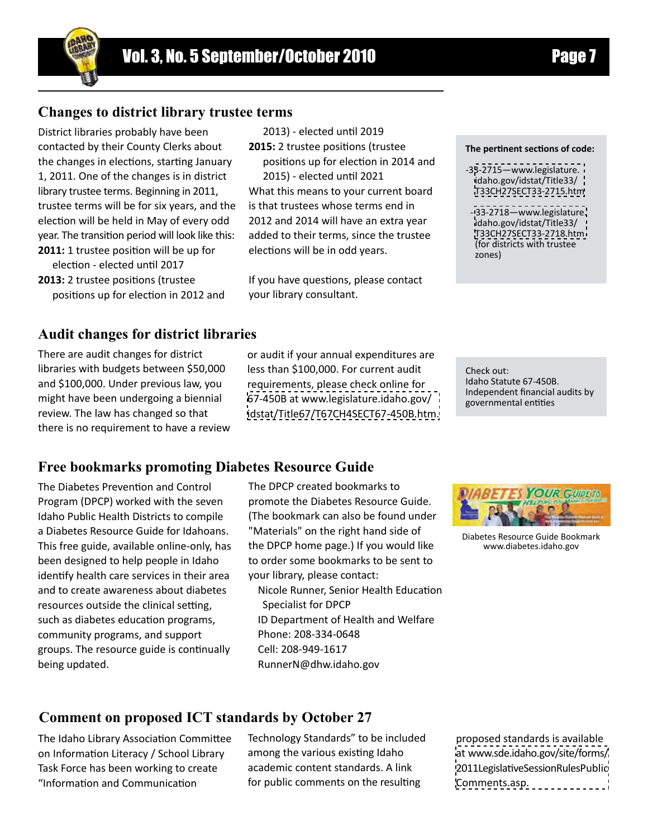# **Changes to district library trustee terms**

District libraries probably have been contacted by their County Clerks about the changes in elections, starting January 1, 2011. One of the changes is in district library trustee terms. Beginning in 2011, trustee terms will be for six years, and the election will be held in May of every odd year. The transition period will look like this: **2011:** 1 trustee position will be up for election - elected until 2017

**2013:** 2 trustee positions (trustee positions up for election in 2012 and

#### **Audit changes for district libraries**

There are audit changes for district libraries with budgets between \$50,000 and \$100,000. Under previous law, you might have been undergoing a biennial review. The law has changed so that there is no requirement to have a review or audit if your annual expenditures are less than \$100,000. For current audit requirements, please check online for 67-450B at www.legislature.idaho.gov/ [idstat/Title67/T67CH4SECT67-450B.htm.](www.legislature.idaho.gov/idstat/Title67/T67CH4SECT67-450B.htm)

2013) - elected until 2019 **2015:** 2 trustee positions (trustee

2015) - elected until 2021

elections will be in odd years.

your library consultant.

positions up for election in 2014 and

What this means to your current board is that trustees whose terms end in 2012 and 2014 will have an extra year added to their terms, since the trustee

If you have questions, please contact

Check out: Idaho Statute 67-450B. Independent financial audits by governmental entities

**The pertinent sections of code:**

-33-2715—www.legislature. idaho.gov/idstat/Title33/ [T33CH27SECT33-2715.htm](www.legislature.idaho.gov/idstat/Title33/T33CH27SECT33-2715.htm) - [33-2718—www.legislature.](www.legislature.idaho.gov/idstat/Title33/T33CH27SECT33-2718.htm) idaho.gov/idstat/Title33/ T33CH27SECT33-2718.htm (for districts with trustee

zones)

#### **Free bookmarks promoting Diabetes Resource Guide**

The Diabetes Prevention and Control Program (DPCP) worked with the seven Idaho Public Health Districts to compile a Diabetes Resource Guide for Idahoans. This free guide, available online-only, has been designed to help people in Idaho identify health care services in their area and to create awareness about diabetes resources outside the clinical setting, such as diabetes education programs, community programs, and support groups. The resource guide is continually being updated.

The DPCP created bookmarks to promote the Diabetes Resource Guide. (The bookmark can also be found under "Materials" on the right hand side of the DPCP home page.) If you would like to order some bookmarks to be sent to your library, please contact:

Nicole Runner, Senior Health Education Specialist for DPCP ID Department of Health and Welfare Phone: 208-334-0648 Cell: 208-949-1617 RunnerN@dhw.idaho.gov



Diabetes Resource Guide Bookmark www.diabetes.idaho.gov

# **Comment on proposed ICT standards by October 27**

The Idaho Library Association Committee on Information Literacy / School Library Task Force has been working to create "Information and Communication

Technology Standards" to be included among the various existing Idaho academic content standards. A link for public comments on the resulting

proposed standards is available [at www.sde.idaho.gov/site/forms/](www.sde.idaho.gov/site/forms/2011LegislativeSessionRulesPublicComments.asp) 2011LegislativeSessionRulesPublic Comments.asp.

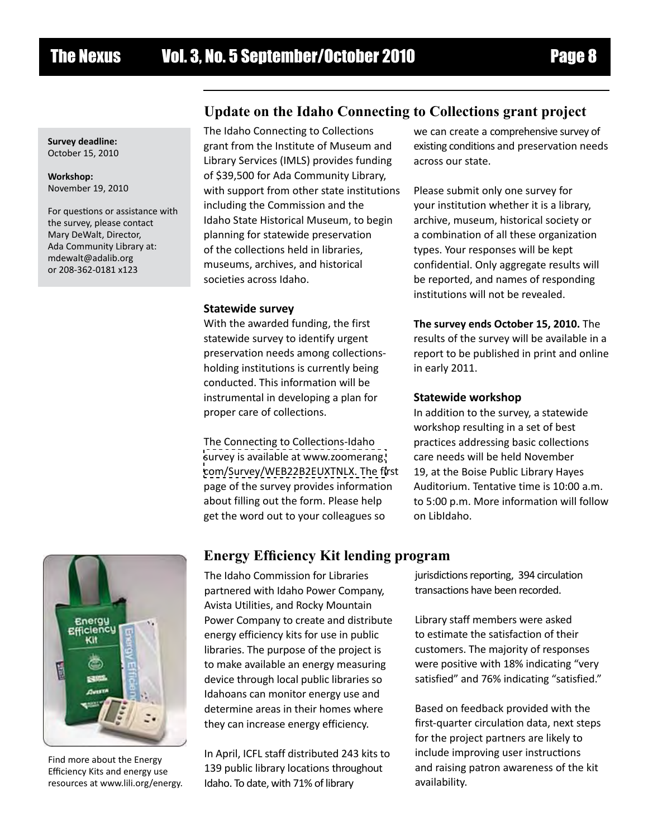**Survey deadline:** October 15, 2010

**Workshop:** November 19, 2010

For questions or assistance with the survey, please contact Mary DeWalt, Director, Ada Community Library at: mdewalt@adalib.org or 208-362-0181 x123

# **Update on the Idaho Connecting to Collections grant project**

The Idaho Connecting to Collections grant from the Institute of Museum and Library Services (IMLS) provides funding of \$39,500 for Ada Community Library, with support from other state institutions including the Commission and the Idaho State Historical Museum, to begin planning for statewide preservation of the collections held in libraries, museums, archives, and historical societies across Idaho.

#### **Statewide survey**

With the awarded funding, the first statewide survey to identify urgent preservation needs among collectionsholding institutions is currently being conducted. This information will be instrumental in developing a plan for proper care of collections.

The Connecting to Collections-Idaho [survey is available at www.zoomerang.](www.zoomerang.com/Survey/WEB22B2EUXTNLX) com/Survey/WEB22B2EUXTNLX. The first page of the survey provides information about filling out the form. Please help get the word out to your colleagues so

we can create a comprehensive survey of existing conditions and preservation needs across our state.

Please submit only one survey for your institution whether it is a library, archive, museum, historical society or a combination of all these organization types. Your responses will be kept confidential. Only aggregate results will be reported, and names of responding institutions will not be revealed.

#### **The survey ends October 15, 2010.** The

results of the survey will be available in a report to be published in print and online in early 2011.

#### **Statewide workshop**

In addition to the survey, a statewide workshop resulting in a set of best practices addressing basic collections care needs will be held November 19, at the Boise Public Library Hayes Auditorium. Tentative time is 10:00 a.m. to 5:00 p.m. More information will follow on LibIdaho.



Find more about the Energy Efficiency Kits and energy use resources at www.lili.org/energy.

# **Energy Efficiency Kit lending program**

The Idaho Commission for Libraries partnered with Idaho Power Company, Avista Utilities, and Rocky Mountain Power Company to create and distribute energy efficiency kits for use in public libraries. The purpose of the project is to make available an energy measuring device through local public libraries so Idahoans can monitor energy use and determine areas in their homes where they can increase energy efficiency.

In April, ICFL staff distributed 243 kits to 139 public library locations throughout Idaho. To date, with 71% of library

jurisdictions reporting, 394 circulation transactions have been recorded.

Library staff members were asked to estimate the satisfaction of their customers. The majority of responses were positive with 18% indicating "very satisfied" and 76% indicating "satisfied."

Based on feedback provided with the first-quarter circulation data, next steps for the project partners are likely to include improving user instructions and raising patron awareness of the kit availability.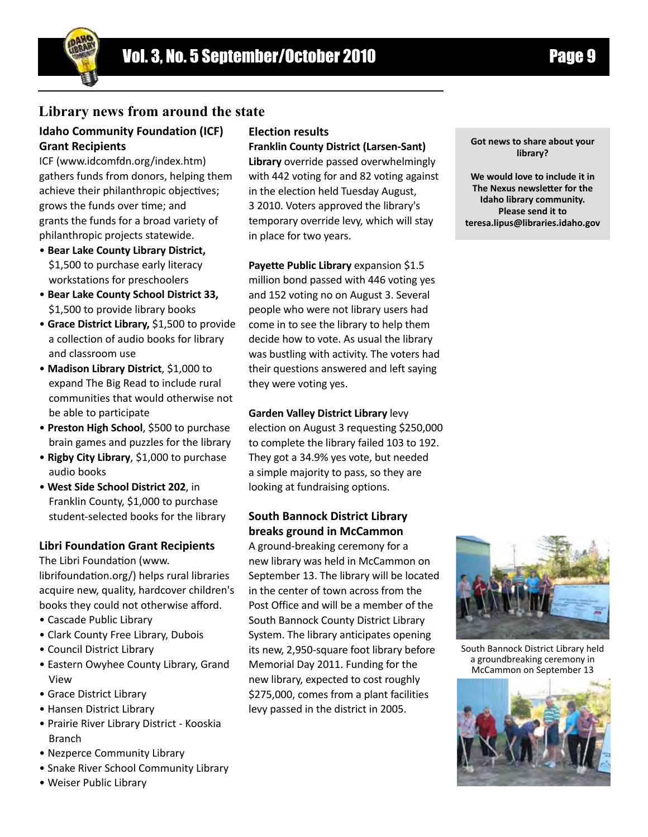

# **Library news from around the state**

#### **Idaho Community Foundation (ICF) Grant Recipients**

ICF (www.idcomfdn.org/index.htm) gathers funds from donors, helping them achieve their philanthropic objectives; grows the funds over time; and grants the funds for a broad variety of philanthropic projects statewide.

- **Bear Lake County Library District,** \$1,500 to purchase early literacy workstations for preschoolers
- **Bear Lake County School District 33,** \$1,500 to provide library books
- **Grace District Library,** \$1,500 to provide a collection of audio books for library and classroom use
- **Madison Library District**, \$1,000 to expand The Big Read to include rural communities that would otherwise not be able to participate
- **Preston High School**, \$500 to purchase brain games and puzzles for the library
- **Rigby City Library**, \$1,000 to purchase audio books
- • **West Side School District 202**, in Franklin County, \$1,000 to purchase student-selected books for the library

#### **Libri Foundation Grant Recipients**

The Libri Foundation (www. librifoundation.org/) helps rural libraries acquire new, quality, hardcover children's books they could not otherwise afford.

- Cascade Public Library
- Clark County Free Library, Dubois
- Council District Library
- Eastern Owyhee County Library, Grand View
- Grace District Library
- Hansen District Library
- Prairie River Library District Kooskia Branch
- Nezperce Community Library
- Snake River School Community Library
- Weiser Public Library

#### **Election results**

**Franklin County District (Larsen-Sant)** 

**Library** override passed overwhelmingly with 442 voting for and 82 voting against in the election held Tuesday August, 3 2010. Voters approved the library's temporary override levy, which will stay in place for two years.

**Payette Public Library** expansion \$1.5 million bond passed with 446 voting yes and 152 voting no on August 3. Several people who were not library users had come in to see the library to help them decide how to vote. As usual the library was bustling with activity. The voters had their questions answered and left saying they were voting yes.

#### **Garden Valley District Library** levy

election on August 3 requesting \$250,000 to complete the library failed 103 to 192. They got a 34.9% yes vote, but needed a simple majority to pass, so they are looking at fundraising options.

#### **South Bannock District Library breaks ground in McCammon**

A ground-breaking ceremony for a new library was held in McCammon on September 13. The library will be located in the center of town across from the Post Office and will be a member of the South Bannock County District Library System. The library anticipates opening its new, 2,950-square foot library before Memorial Day 2011. Funding for the new library, expected to cost roughly \$275,000, comes from a plant facilities levy passed in the district in 2005.

**Got news to share about your library?**

**We would love to include it in The Nexus newsletter for the Idaho library community. Please send it to teresa.lipus@libraries.idaho.gov** 



South Bannock District Library held a groundbreaking ceremony in McCammon on September 13